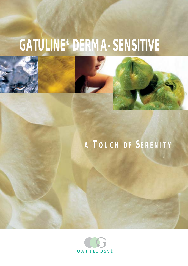## **GATULINE® DERMA-SENSITIVE**







### **A TOUCH OF SERENITY**

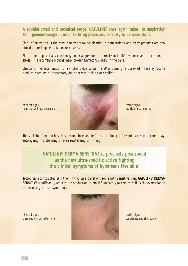### **A sophisticated and technical range, GATULINE® once again takes its inspiration from gemmotherapy in order to bring peace and serenity to delicate skins.**

Skin inflammation is the most commonly found disorder in dermatology and many products are now aimed at treating sensitive or reactive skin.

Skin tissue is practically constantly under aggression – thermal shock, UV rays, mechanical or chemical stress. This recurrence induces many pro-inflammatory signals in the cells.

Clinically, the deterioration of symptoms due to pain and/or burning is observed. These symptoms produce a feeling of discomfort, dry tightness, itching or swelling.



physical signs: redness, swelling, oedema…

The soothing function has thus become inseparable from all claims put forward by cosmetic care today: anti-ageing, moisturising or even revitalising or firming.

### **GATULINE® DERMA-SENSITIVE is precisely positioned as the new ultra-specific active fighting the clinical symptoms of hypersensitive skin.**

Tested on reconstructed skin then *in vivo* on a panel of people with sensitive skin, **GATULINE® DERMA-SENSITIVE** significantly reduces the production of pro-inflammatory factors as well as the expression of the resulting clinical symptoms.

physical signs: clear and uniform skin tone



tactile signs: suppleness and skin comfort

tactile signs:

dry tightness, burning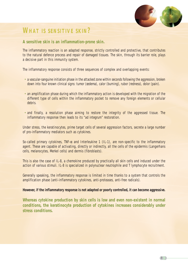

### **WHAT IS SENSITIVE SKIN?**

### **A sensitive skin is an inflammation-prone skin.**

The inflammatory reaction is an adapted response, strictly controlled and protective, that contributes to the natural defence process and repair of damaged tissues. The skin, through its barrier role, plays a decisive part in this immunity system.

The inflammatory response consists of three sequences of complex and overlapping events:

- a vascular-sanguine initiation phase in the attacked zone within seconds following the aggression, broken down into four known clinical signs: tumor (œdema), calor (burning), rubor (redness), dolor (pain).
- an amplification phase during which the inflammatory action is developed with the migration of the different type of cells within the inflammatory pocket to remove any foreign elements or cellular debris.
- and finally, a resolution phase aiming to restore the integrity of the aggressed tissue. The inflammatory response then leads to its "*ad integrum*" restoration.

Under stress, the keratinocytes, prime target cells of several aggression factors, secrete a large number of pro-inflammatory mediators such as cytokines.

So-called primary cytokines, TNF- $\alpha$  and Interleukine 1 (IL-1), are non-specific to the inflammatory agent. These are capable of activating, directly or indirectly, all the cells of the epidermis (Langerhans cells, melanocytes, Merkel cells) and dermis (fibroblasts).

This is also the case of IL-8, a chemokine produced by practically all skin cells and induced under the action of various stimuli. IL-8 is specialized in polynuclear neutrophile and T lymphocyte recruitment.

Generally speaking, the inflammatory response is limited in time thanks to a system that controls the amplification phase (anti-inflammatory cytokines, anti-proteases, anti-free radicals).

### **However, if the inflammatory response is not adapted or poorly controlled, it can become aggressive.**

**Whereas cytokine production by skin cells is low and even non-existent in normal conditions, the keratinocyte production of cytokines increases considerably under stress conditions.**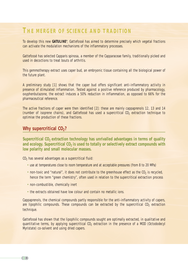### **THE MERGER OF SCIENCE AND TRADITION**

To develop this new **GATULINE®** , Gattefossé has aimed to determine precisely which vegetal fractions can activate the modulation mechanisms of the inflammatory processes.

Gattefossé has selected *Capparis spinosa*, a member of the Capparaceae family, traditionally picked and used in decoctions to treat bouts of arthritis.

This gemmotherapy extract uses caper bud, an embryonic tissue containing all the biological power of the future plant.

A preliminary study [1] shows that the caper bud offers significant anti-inflammatory activity in presence of stimulated inflammation. Tested against a positive reference produced by pharmacology, oxyphenbutazone, the extract induces a 50% reduction in inflammation, as opposed to 66% for the pharmaceutical reference.

The active fractions of caper were then identified [2]: these are mainly cappaprenols 12, 13 and 14 (number of isoprene chains), and Gattefossé has used a supercritical  $CO<sub>2</sub>$  extraction technique to optimise the production of these fractions.

### **Why supercritical CO<sub>2</sub>?**

Supercritical CO<sub>2</sub> extraction technology has unrivalled advantages in terms of quality and ecology. Supercritical CO<sub>2</sub> is used to totally or selectively extract compounds with **low polarity and small molecular masses.**

 $CO<sub>2</sub>$  has several advantages as a supercritical fluid:

- use at temperatures close to room temperature and at acceptable pressures (from 8 to 20 MPa)
- non-toxic and "natural", it does not contribute to the greenhouse effect as the  $CO<sub>2</sub>$  is recycled, hence the term "green chemistry", often used in relation to the supercritical extraction process
- non-combustible, chemically inert
- the extracts obtained have low colour and contain no metallic ions.

Cappaprenols, the chemical compounds partly responsible for the anti-inflammatory activity of capers, are lipophilic compounds. These compounds can be extracted by the supercritical  $CO<sub>2</sub>$  extraction technique.

Gattefossé has shown that the lipophilic compounds sought are optimally extracted, in qualitative and quantitative terms, by applying supercritical  $CO<sub>2</sub>$  extraction in the presence of a MOD (Octododecyl Myristate) co-solvent and using dried capers.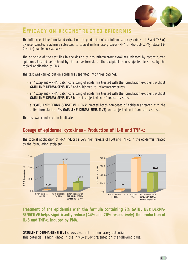

### **EFFICACY ON RECONSTRUCTED EPIDERMIS**

The influence of the formulated extract on the production of pro-inflammatory cytokines (IL-8 and TNF- $\alpha$ ) by reconstructed epidermis subjected to topical inflammatory stress (PMA or Phorbol-12-Myristate-13- Acetate) has been evaluated.

The principle of the test lies in the dosing of pro-inflammatory cytokines released by reconstructed epidermis treated beforehand by the active formula or the excipient then subjected to stress by the topical application of PMA.

The test was carried out on epidermis separated into three batches:

- an "Excipient + PMA" batch consisting of epidermis treated with the formulation excipient without **GATULINE® DERMA-SENSITIVE** and subjected to inflammatory stress
- an "Excipient PMA" batch consisting of epidermis treated with the formulation excipient without **GATULINE® DERMA-SENSITIVE** but not subjected to inflammatory stress
- a "**GATULINE® DERMA-SENSITIVE** + PMA" treated batch composed of epidermis treated with the active formulation (2% **GATULINE® DERMA-SENSITIVE**) and subjected to inflammatory stress.

The test was conducted in triplicate.

### **Dosage of epidermal cytokines - Production of IL-8 and TNF-**α

The topical application of PMA induces a very high release of IL-8 and TNF- $\alpha$  in the epidermis treated by the formulation excipient.



**Treatment of the epidermis with the formula containing 2% GATULINE® DERMA-SENSITIVE helps significantly reduce (44% and 70% respectively) the production of IL-8 and TNF-**α **induced by PMA.**

**GATULINE® DERMA-SENSITIVE** shows clear anti-inflammatory potential. This potential is highlighted in the *in vivo* study presented on the following page.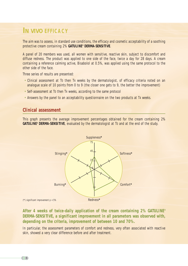### *IN VIVO* **EFFICACY**

The aim was to assess, in standard use conditions, the efficacy and cosmetic acceptability of a soothing protective cream containing 2% **GATULINE® DERMA-SENSITIVE**.

A panel of 20 members was used, all women with sensitive, reactive skin, subject to discomfort and diffuse redness. The product was applied to one side of the face, twice a day for 28 days. A cream containing a reference calming active, Bisabolol at 0.5%, was applied using the same protocol to the other side of the face.

Three series of results are presented:

- Clinical assessment at To then T4 weeks by the dermatologist, of efficacy criteria noted on an analogue scale of 10 points from 0 to 9 (the closer one gets to 9, the better the improvement)
- Self-assessment at T0 then T4 weeks, according to the same protocol
- Answers by the panel to an acceptability questionnaire on the two products at T4 weeks.

### **Clinical assessment**

This graph presents the average improvement percentages obtained for the cream containing 2% **GATULINE® DERMA-SENSITIVE**, evaluated by the dermatologist at T0 and at the end of the study.



(**\***) significant improvement p < 5%

**After 4 weeks of twice-daily application of the cream containing 2% GATULINE® DERMA-SENSITIVE, a significant improvement in all parameters was observed with, depending on the criteria, improvement of between 10 and 70%.**

In particular, the assessment parameters of comfort and redness, very often associated with reactive skin, showed a very clear difference before and after treatment.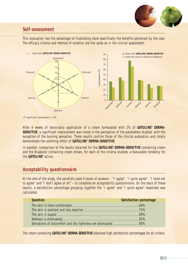

### **Self-assessment**

This evaluation has the advantage of illustrating more specifically the benefits perceived by the user. The efficacy criteria and method of notation are the same as in the clinical assessment.



(**\***) significant improvement p < 5%

After 4 weeks of twice-daily application of a cream formulated with 2% of **GATULINE® DERMA-SENSITIVE**, a significant improvement was noted in the perception of the parameters studied, with the exception of the burning sensation. These results confirm those of the clinical evaluation and clearly demonstrate the soothing effect of **GATULINE® DERMA-SENSITIVE**.

In parallel, comparison of the results obtained for the **GATULINE® DERMA-SENSITIVE** containing cream and the Bisabolol containing cream shows, for each of the criteria studied, a favourable tendency for the **GATULINE®** active.

### **Acceptability questionnaire**

At the end of the study, the panelists used 4 levels of answers – "I agree", "I quite agree", "I tend not to agree" and "I don't agree at all" – to complete an acceptability questionnaire. On the basis of these results, a satisfaction percentage grouping together the "I agree" and "I quite agree" responses was calculated.

| <b>Question</b><br>the control of the control of the control of the control of | Satisfaction percentage |
|--------------------------------------------------------------------------------|-------------------------|
|                                                                                |                         |
|                                                                                |                         |
|                                                                                |                         |
|                                                                                |                         |
|                                                                                |                         |

The cream containing **GATULINE® DERMA-SENSITIVE** obtained high satisfaction percentages for all criteria.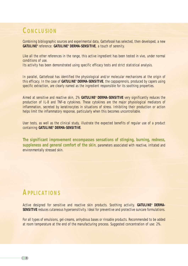### **CONCLUSION**

Combining bibliographic sources and experimental data, Gattefossé has selected, then developed, a new **GATULINE®** reference: **GATULINE® DERMA-SENSITIVE**, a touch of serenity.

Like all the other references in the range, this active ingredient has been tested *in vivo*, under normal conditions of use.

Its activity has been demonstrated using specific efficacy tests and strict statistical analysis.

In parallel, Gattefossé has identified the physiological and/or molecular mechanisms at the origin of this efficacy. In the case of **GATULINE® DERMA-SENSITIVE**, the cappaprenols, produced by capers using specific extraction, are clearly named as the ingredient responsible for its soothing properties.

Aimed at sensitive and reactive skin, 2% **GATULINE® DERMA-SENSITIVE** very significantly reduces the production of IL-8 and TNF-α cytokines. These cytokines are the major physiological mediators of inflammation, secreted by keratinocytes in situations of stress. Inhibiting their production or action helps limit the inflammatory response, particularly when this becomes uncontrollable.

User tests, as well as the clinical study, illustrate the expected benefits of regular use of a product containing **GATULINE® DERMA-SENSITIVE**.

**The significant improvement encompasses sensations of stinging, burning, redness, suppleness and general comfort of the skin**, parameters associated with reactive, irritated and environmentally stressed skin.

### **APPLICATIONS**

Active designed for sensitive and reactive skin products. Soothing activity. **GATULINE® DERMA-SENSITIVE** reduces cutaneous hypersensitivity. Ideal for preventive and protective suncare formulations.

For all types of emulsions, gel-creams, anhydrous bases or rinsable products. Recommended to be added at room temperature at the end of the manufacturing process. Suggested concentration of use: 2%.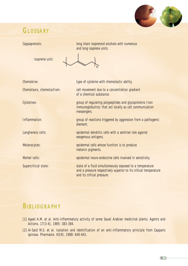# 

### **GLOSSARY**

Cappaprenols: *long chain isoprenoid alcohols with numerous and long isoprene units.*

- Isoprene unit:

 $\begin{picture}(180,170) \put(100,170){\makebox(0,0){$N_{\rm n}$}} \put(150,170){\makebox(0,0){$N_{\rm n}$}} \put(150,170){\makebox(0,0){$N_{\rm n}$}} \put(150,170){\makebox(0,0){$N_{\rm n}$}} \put(150,170){\makebox(0,0){$N_{\rm n}$}} \put(150,170){\makebox(0,0){$N_{\rm n}$}} \put(150,170){\makebox(0,0){$N_{\rm n}$}} \put(150,170){\makebox(0,0$ 

| Chemokine:                | type of cytokine with chemotactic ability.                                                                                                                 |
|---------------------------|------------------------------------------------------------------------------------------------------------------------------------------------------------|
| Chemotaxis, chemotactism: | cell movement due to a concentration gradient<br>of a chemical substance.                                                                                  |
| Cytokines:                | group of regulating polypeptides and glycoproteins (non<br>immunoglobulins) that act locally as cell communication<br>messengers.                          |
| Inflammation:             | group of reactions triggered by aggression from a pathogenic<br>element.                                                                                   |
| Langherans cells:         | epidermal dendritic cells with a sentinel role against<br>exogenous antigens.                                                                              |
| Melanocytes:              | epidermal cells whose function is to produce<br>melanin pigments.                                                                                          |
| Merkel cells:             | epidermal neuro-endocrine cells involved in sensitivity.                                                                                                   |
| Supercritical state:      | state of a fluid simultaneously exposed to a temperature<br>and a pressure respectively superior to its critical temperature<br>and its critical pressure. |

### **BIBLIOGRAPHY**

- [1] Ageel A.M. *et al.* Anti-inflammatory activity of some Saudi Arabian medicinal plants. Agents and Actions. 17(3-4), 1985: 383-384.
- [2] Al-Said M.S. *et al.* Isolation and identification of an anti-inflammatory principle from *Capparis spinosa*. Pharmazie. 43(9), 1988: 640-641.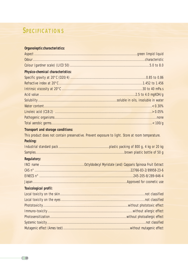### **SPECIFICATIONS**

| Organoleptic characteristics: |  |  |
|-------------------------------|--|--|
|                               |  |  |

| Physico-chemical characteristics: |                                                                                                   |
|-----------------------------------|---------------------------------------------------------------------------------------------------|
|                                   |                                                                                                   |
|                                   |                                                                                                   |
|                                   |                                                                                                   |
|                                   |                                                                                                   |
|                                   |                                                                                                   |
|                                   |                                                                                                   |
|                                   |                                                                                                   |
|                                   |                                                                                                   |
|                                   |                                                                                                   |
| Transport and storage conditions: |                                                                                                   |
|                                   | This product does not contain preservative. Prevent exposure to light. Store at room temperature. |
| Packing:                          |                                                                                                   |
|                                   |                                                                                                   |
|                                   |                                                                                                   |
| <b>Regulatory:</b>                |                                                                                                   |
|                                   |                                                                                                   |
|                                   |                                                                                                   |
|                                   |                                                                                                   |
|                                   |                                                                                                   |
| Toxicological profil:             |                                                                                                   |
|                                   |                                                                                                   |
|                                   |                                                                                                   |
|                                   |                                                                                                   |
|                                   |                                                                                                   |
|                                   |                                                                                                   |
|                                   |                                                                                                   |
|                                   |                                                                                                   |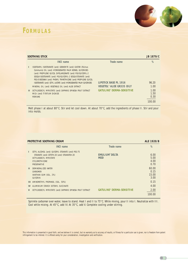### **FORMULAS**



|   | SOOTHING STICK                                                                                                                                                                                                                                                                                                                                                                                                                                                                                                                                                    |                                                                                              | JB 1879/C                             |  |
|---|-------------------------------------------------------------------------------------------------------------------------------------------------------------------------------------------------------------------------------------------------------------------------------------------------------------------------------------------------------------------------------------------------------------------------------------------------------------------------------------------------------------------------------------------------------------------|----------------------------------------------------------------------------------------------|---------------------------------------|--|
|   | <b>INCI name</b>                                                                                                                                                                                                                                                                                                                                                                                                                                                                                                                                                  | Trade name                                                                                   | $\%$                                  |  |
| Ш | ISOSTEARYL ISOSTEARATE (and) OZOKERITE (and) CASTOR (Ricinus<br>Communis) OIL (and) HYDROGENATED PALM KERNEL GLYCERIDES<br>(and) PROPYLENE GLYCOL DIPELARGONATE (and) POLYGLYCERYL-2<br>SESQUIISOSTEARATE (and) POLYGLYCERYL-2 SESQUISTEARATE (and)<br>PEG-8 BEESWAX (and) PHENYL TRIMETHICONE (and) PROPYLENE GLYCOL<br>ISOSTEARATE (and) CETYL LACTATE (and) HYDROGENATED PALM GLYCERIDES<br>MINERAL OIL (and) VEGETABLE OIL (and) ALOE EXTRACT<br>OCTYLDODECYL MYRISTATE (and) CAPPARIS SPINOSA FRUIT EXTRACT<br>MICA (and) TITATIUM DIOXIDE<br><b>PERFUME</b> | <b>LIPSTICK BASE PL 1916</b><br>VEGETOL® ALOE GR335 OILY<br><b>GATULINE® DERMA-SENSITIVE</b> | 96.20<br>1.00<br>1.00<br>1.50<br>0.30 |  |
|   |                                                                                                                                                                                                                                                                                                                                                                                                                                                                                                                                                                   |                                                                                              | 100.00                                |  |

Melt phase I at about 80°C. Stir and let cool down. At about 70°C, add the ingredients of phase II. Stir and pour into molds.

|    | PROTECTIVE SOOTHING CREAM                                                                                                                                     |                                                 | <b>ALE 1920/B</b>              |
|----|---------------------------------------------------------------------------------------------------------------------------------------------------------------|-------------------------------------------------|--------------------------------|
|    | <b>INCI name</b>                                                                                                                                              | Trade name                                      | $\%$                           |
|    | CETYL ALCOHOL (and) GLYCERYL STEARATE (and) PEG-75<br>STEARATE (and) CETETH-20 (and) STEARATEH-20<br>OCTYLDODECYL MYRISTATE<br>CYCLOMETHICONE<br>PRESERVATIVE | <b>EMULIUM</b> <sup>"</sup> DELTA<br><b>MOD</b> | 6.00<br>5.00<br>4.00<br>0.70   |
| Ш  | DEMINERALIZED WATER<br>CARBOMER<br>XANTHAN GUM (SOL. 2%)<br><b>GLYCERIN</b>                                                                                   |                                                 | 60.00<br>0.15<br>15.00<br>3.00 |
|    | III AMINOMETHYL PROPANOL (SOL. 50%)                                                                                                                           |                                                 | 0.15                           |
| IV | ALUMINIUM STARCH OCTENYL SUCCINATE                                                                                                                            |                                                 | 4.00                           |
| V  | OCTYLDODECYL MYRISTATE (and) CAPPARIS SPINOSA FRUIT EXTRACT                                                                                                   | <b>GATULINE® DERMA-SENSITIVE</b>                | 2.00<br>100.00                 |

Sprinkle carbomer over water, leave to stand. Heat I and II to 75°C. While mixing, pour II into I. Neutralize with III. Cool while mixing. At 45°C, add IV. At 35°C, add V. Complete cooling under stirring.

This information is presented in good faith, and we believe it is correct, but no warranty as to accuracy of results, or fitness for a particular use is given, nor is freedom from patent infringement to be inferred. It is offered solely for your consideration, investigation and verification.